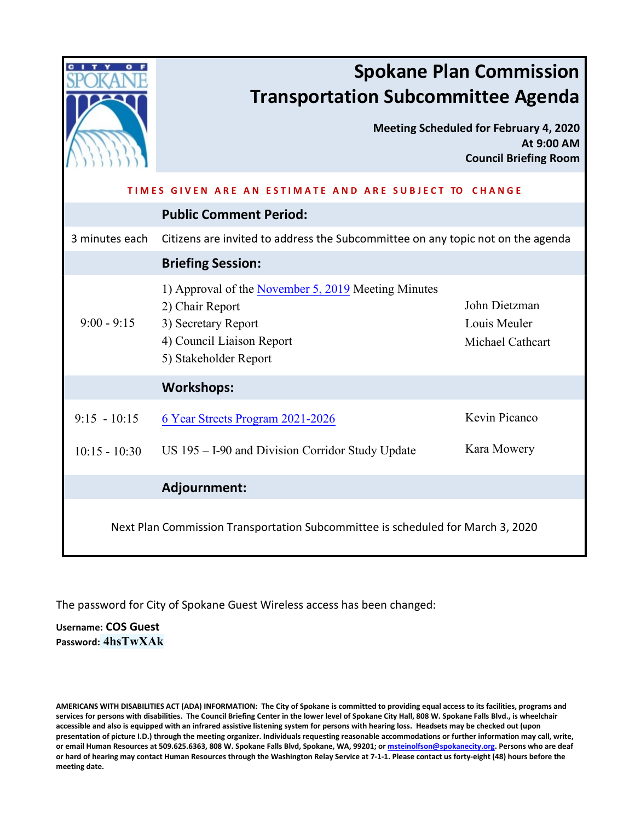|                                                                                 | <b>Spokane Plan Commission</b><br><b>Transportation Subcommittee Agenda</b><br><b>Meeting Scheduled for February 4, 2020</b>                        |                                                   |
|---------------------------------------------------------------------------------|-----------------------------------------------------------------------------------------------------------------------------------------------------|---------------------------------------------------|
|                                                                                 |                                                                                                                                                     | At 9:00 AM<br><b>Council Briefing Room</b>        |
| TIMES GIVEN ARE AN ESTIMATE AND ARE SUBJECT TO CHANGE                           |                                                                                                                                                     |                                                   |
|                                                                                 | <b>Public Comment Period:</b>                                                                                                                       |                                                   |
| 3 minutes each                                                                  | Citizens are invited to address the Subcommittee on any topic not on the agenda                                                                     |                                                   |
|                                                                                 | <b>Briefing Session:</b>                                                                                                                            |                                                   |
| $9:00 - 9:15$                                                                   | 1) Approval of the November 5, 2019 Meeting Minutes<br>2) Chair Report<br>3) Secretary Report<br>4) Council Liaison Report<br>5) Stakeholder Report | John Dietzman<br>Louis Meuler<br>Michael Cathcart |
| <b>Workshops:</b>                                                               |                                                                                                                                                     |                                                   |
| $9:15 - 10:15$                                                                  | 6 Year Streets Program 2021-2026                                                                                                                    | Kevin Picanco                                     |
| $10:15 - 10:30$                                                                 | US 195 - I-90 and Division Corridor Study Update                                                                                                    | Kara Mowery                                       |
|                                                                                 | Adjournment:                                                                                                                                        |                                                   |
| Next Plan Commission Transportation Subcommittee is scheduled for March 3, 2020 |                                                                                                                                                     |                                                   |

The password for City of Spokane Guest Wireless access has been changed:

**Username: COS Guest Password: 4hsTwXAk**

**AMERICANS WITH DISABILITIES ACT (ADA) INFORMATION: The City of Spokane is committed to providing equal access to its facilities, programs and services for persons with disabilities. The Council Briefing Center in the lower level of Spokane City Hall, 808 W. Spokane Falls Blvd., is wheelchair accessible and also is equipped with an infrared assistive listening system for persons with hearing loss. Headsets may be checked out (upon presentation of picture I.D.) through the meeting organizer. Individuals requesting reasonable accommodations or further information may call, write, or email Human Resources at 509.625.6363, 808 W. Spokane Falls Blvd, Spokane, WA, 99201; o[r msteinolfson@spokanecity.org.](mailto:msteinolfson@spokanecity.org) Persons who are deaf or hard of hearing may contact Human Resources through the Washington Relay Service at 7-1-1. Please contact us forty-eight (48) hours before the meeting date.**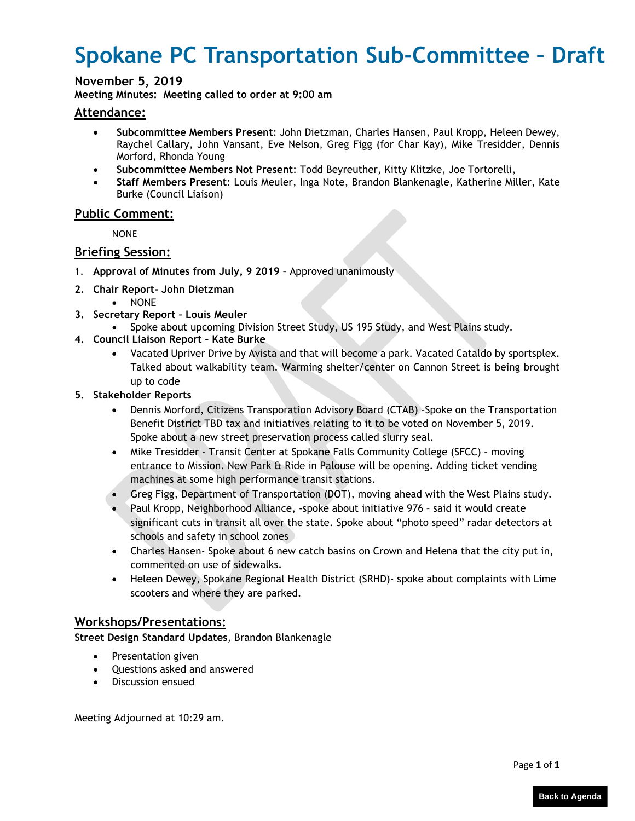# <span id="page-1-0"></span>**Spokane PC Transportation Sub-Committee – Draft**

### **November 5, 2019**

**Meeting Minutes: Meeting called to order at 9:00 am** 

#### **Attendance:**

- **Subcommittee Members Present**: John Dietzman, Charles Hansen, Paul Kropp, Heleen Dewey, Raychel Callary, John Vansant, Eve Nelson, Greg Figg (for Char Kay), Mike Tresidder, Dennis Morford, Rhonda Young
- **Subcommittee Members Not Present**: Todd Beyreuther, Kitty Klitzke, Joe Tortorelli,
- **Staff Members Present**: Louis Meuler, Inga Note, Brandon Blankenagle, Katherine Miller, Kate Burke (Council Liaison)

### **Public Comment:**

**NONE** 

### **Briefing Session:**

- 1. **Approval of Minutes from July, 9 2019** Approved unanimously
- **2. Chair Report- John Dietzman**
- NONE
- **3. Secretary Report Louis Meuler**
	- Spoke about upcoming Division Street Study, US 195 Study, and West Plains study.
- **4. Council Liaison Report Kate Burke**
	- Vacated Upriver Drive by Avista and that will become a park. Vacated Cataldo by sportsplex. Talked about walkability team. Warming shelter/center on Cannon Street is being brought up to code
- **5. Stakeholder Reports**
	- Dennis Morford, Citizens Transporation Advisory Board (CTAB) –Spoke on the Transportation Benefit District TBD tax and initiatives relating to it to be voted on November 5, 2019. Spoke about a new street preservation process called slurry seal.
	- Mike Tresidder Transit Center at Spokane Falls Community College (SFCC) moving entrance to Mission. New Park & Ride in Palouse will be opening. Adding ticket vending machines at some high performance transit stations.
	- Greg Figg, Department of Transportation (DOT), moving ahead with the West Plains study.
	- Paul Kropp, Neighborhood Alliance, -spoke about initiative 976 said it would create significant cuts in transit all over the state. Spoke about "photo speed" radar detectors at schools and safety in school zones
	- Charles Hansen- Spoke about 6 new catch basins on Crown and Helena that the city put in, commented on use of sidewalks.
	- Heleen Dewey, Spokane Regional Health District (SRHD)- spoke about complaints with Lime scooters and where they are parked.

### **Workshops/Presentations:**

**Street Design Standard Updates**, Brandon Blankenagle

- Presentation given
- Questions asked and answered
- Discussion ensued

Meeting Adjourned at 10:29 am.